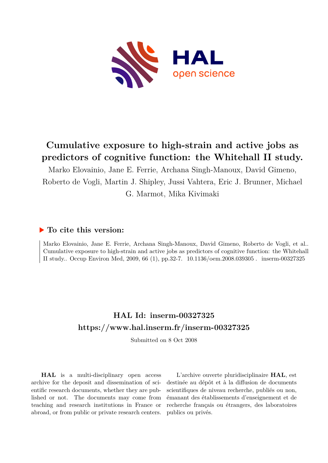

# **Cumulative exposure to high-strain and active jobs as predictors of cognitive function: the Whitehall II study.**

Marko Elovainio, Jane E. Ferrie, Archana Singh-Manoux, David Gimeno, Roberto de Vogli, Martin J. Shipley, Jussi Vahtera, Eric J. Brunner, Michael G. Marmot, Mika Kivimaki

# **To cite this version:**

Marko Elovainio, Jane E. Ferrie, Archana Singh-Manoux, David Gimeno, Roberto de Vogli, et al.. Cumulative exposure to high-strain and active jobs as predictors of cognitive function: the Whitehall II study.. Occup Environ Med, 2009, 66 (1), pp.32-7.  $10.1136/$ oem.2008.039305. inserm-00327325

# **HAL Id: inserm-00327325 <https://www.hal.inserm.fr/inserm-00327325>**

Submitted on 8 Oct 2008

**HAL** is a multi-disciplinary open access archive for the deposit and dissemination of scientific research documents, whether they are published or not. The documents may come from teaching and research institutions in France or abroad, or from public or private research centers.

L'archive ouverte pluridisciplinaire **HAL**, est destinée au dépôt et à la diffusion de documents scientifiques de niveau recherche, publiés ou non, émanant des établissements d'enseignement et de recherche français ou étrangers, des laboratoires publics ou privés.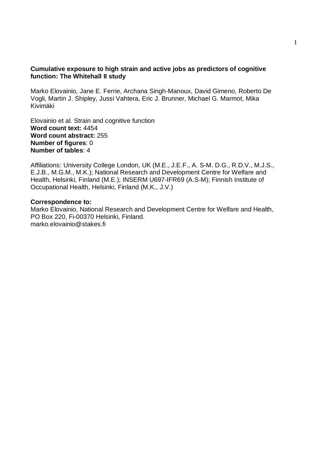### **Cumulative exposure to high strain and active jobs as predictors of cognitive function: The Whitehall II study**

Marko Elovainio, Jane E. Ferrie, Archana Singh-Manoux, David Gimeno, Roberto De Vogli, Martin J. Shipley, Jussi Vahtera, Eric J. Brunner, Michael G. Marmot, Mika Kivimäki

Elovainio et al. Strain and cognitive function **Word count text:** 4454 **Word count abstract:** 255 **Number of figures**: 0 **Number of tables**: 4

Affiliations: University College London, UK (M.E., J.E.F., A. S-M. D.G., R.D.V., M.J.S., E.J.B., M.G.M., M.K.); National Research and Development Centre for Welfare and Health, Helsinki, Finland (M.E.); INSERM U697-IFR69 (A.S-M); Finnish Institute of Occupational Health, Helsinki, Finland (M.K., J.V.)

#### **Correspondence to:**

Marko Elovainio, National Research and Development Centre for Welfare and Health, PO Box 220, Fi-00370 Helsinki, Finland. marko.elovainio@stakes.fi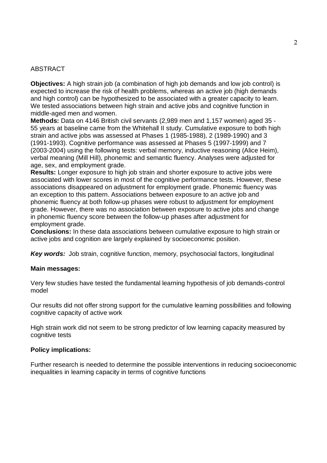### ABSTRACT

**Objectives:** A high strain job (a combination of high job demands and low job control) is expected to increase the risk of health problems, whereas an active job (high demands and high control) can be hypothesized to be associated with a greater capacity to learn. We tested associations between high strain and active jobs and cognitive function in middle-aged men and women.

**Methods:** Data on 4146 British civil servants (2,989 men and 1,157 women) aged 35 - 55 years at baseline came from the Whitehall II study. Cumulative exposure to both high strain and active jobs was assessed at Phases 1 (1985-1988), 2 (1989-1990) and 3 (1991-1993). Cognitive performance was assessed at Phases 5 (1997-1999) and 7 (2003-2004) using the following tests: verbal memory, inductive reasoning (Alice Heim), verbal meaning (Mill Hill), phonemic and semantic fluency. Analyses were adjusted for age, sex, and employment grade.

**Results:** Longer exposure to high job strain and shorter exposure to active jobs were associated with lower scores in most of the cognitive performance tests. However, these associations disappeared on adjustment for employment grade. Phonemic fluency was an exception to this pattern. Associations between exposure to an active job and phonemic fluency at both follow-up phases were robust to adjustment for employment grade. However, there was no association between exposure to active jobs and change in phonemic fluency score between the follow-up phases after adjustment for employment grade.

**Conclusions:** In these data associations between cumulative exposure to high strain or active jobs and cognition are largely explained by socioeconomic position.

**Key words:** Job strain, cognitive function, memory, psychosocial factors, longitudinal

#### **Main messages:**

Very few studies have tested the fundamental learning hypothesis of job demands-control model

Our results did not offer strong support for the cumulative learning possibilities and following cognitive capacity of active work

High strain work did not seem to be strong predictor of low learning capacity measured by cognitive tests

#### **Policy implications:**

Further research is needed to determine the possible interventions in reducing socioeconomic inequalities in learning capacity in terms of cognitive functions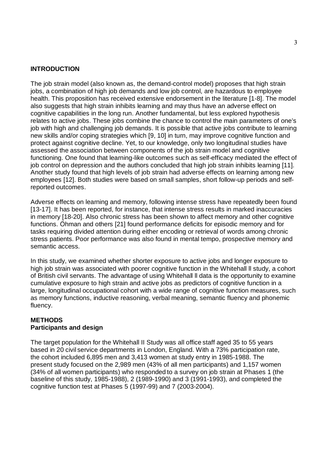#### **INTRODUCTION**

The job strain model (also known as, the demand-control model) proposes that high strain jobs, a combination of high job demands and low job control, are hazardous to employee health. This proposition has received extensive endorsement in the literature [1-8]. The model also suggests that high strain inhibits learning and may thus have an adverse effect on cognitive capabilities in the long run. Another fundamental, but less explored hypothesis relates to active jobs. These jobs combine the chance to control the main parameters of one's job with high and challenging job demands. It is possible that active jobs contribute to learning new skills and/or coping strategies which [9, 10] in turn, may improve cognitive function and protect against cognitive decline. Yet, to our knowledge, only two longitudinal studies have assessed the association between components of the job strain model and cognitive functioning. One found that learning-like outcomes such as self-efficacy mediated the effect of job control on depression and the authors concluded that high job strain inhibits learning [11]. Another study found that high levels of job strain had adverse effects on learning among new employees [12]. Both studies were based on small samples, short follow-up periods and selfreported outcomes.

Adverse effects on learning and memory, following intense stress have repeatedly been found [13-17]. It has been reported, for instance, that intense stress results in marked inaccuracies in memory [18-20]. Also chronic stress has been shown to affect memory and other cognitive functions. Öhman and others [21] found performance deficits for episodic memory and for tasks requiring divided attention during either encoding or retrieval of words among chronic stress patients. Poor performance was also found in mental tempo, prospective memory and semantic access.

In this study, we examined whether shorter exposure to active jobs and longer exposure to high job strain was associated with poorer cognitive function in the Whitehall II study, a cohort of British civil servants. The advantage of using Whitehall ll data is the opportunity to examine cumulative exposure to high strain and active jobs as predictors of cognitive function in a large, longitudinal occupational cohort with a wide range of cognitive function measures, such as memory functions, inductive reasoning, verbal meaning, semantic fluency and phonemic fluency.

## **METHODS Participants and design**

The target population for the Whitehall II Study was all office staff aged 35 to 55 years based in 20 civil service departments in London, England. With a 73% participation rate, the cohort included 6,895 men and 3,413 women at study entry in 1985-1988. The present study focused on the 2,989 men (43% of all men participants) and 1,157 women (34% of all women participants) who responded to a survey on job strain at Phases 1 (the baseline of this study, 1985-1988), 2 (1989-1990) and 3 (1991-1993), and completed the cognitive function test at Phases 5 (1997-99) and 7 (2003-2004).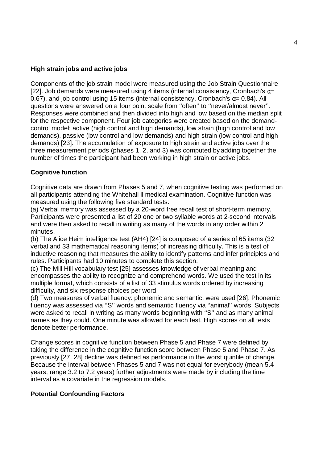### **High strain jobs and active jobs**

Components of the job strain model were measured using the Job Strain Questionnaire [22]. Job demands were measured using 4 items (internal consistency, Cronbach's  $\alpha$ = 0.67), and job control using 15 items (internal consistency, Cronbach's  $\alpha$ = 0.84). All questions were answered on a four point scale from ''often'' to ''never/almost never''. Responses were combined and then divided into high and low based on the median split for the respective component. Four job categories were created based on the demandcontrol model: active (high control and high demands), low strain (high control and low demands), passive (low control and low demands) and high strain (low control and high demands) [23]. The accumulation of exposure to high strain and active jobs over the three measurement periods (phases 1, 2, and 3) was computed by adding together the number of times the participant had been working in high strain or active jobs.

### **Cognitive function**

Cognitive data are drawn from Phases 5 and 7, when cognitive testing was performed on all participants attending the Whitehall ll medical examination. Cognitive function was measured using the following five standard tests:

(a) Verbal memory was assessed by a 20-word free recall test of short-term memory. Participants were presented a list of 20 one or two syllable words at 2-second intervals and were then asked to recall in writing as many of the words in any order within 2 minutes.

(b) The Alice Heim intelligence test (AH4) [24] is composed of a series of 65 items (32 verbal and 33 mathematical reasoning items) of increasing difficulty. This is a test of inductive reasoning that measures the ability to identify patterns and infer principles and rules. Participants had 10 minutes to complete this section.

(c) The Mill Hill vocabulary test [25] assesses knowledge of verbal meaning and encompasses the ability to recognize and comprehend words. We used the test in its multiple format, which consists of a list of 33 stimulus words ordered by increasing difficulty, and six response choices per word.

(d) Two measures of verbal fluency: phonemic and semantic, were used [26]. Phonemic fluency was assessed via ''S'' words and semantic fluency via ''animal'' words. Subjects were asked to recall in writing as many words beginning with ''S'' and as many animal names as they could. One minute was allowed for each test. High scores on all tests denote better performance.

Change scores in cognitive function between Phase 5 and Phase 7 were defined by taking the difference in the cognitive function score between Phase 5 and Phase 7. As previously [27, 28] decline was defined as performance in the worst quintile of change. Because the interval between Phases 5 and 7 was not equal for everybody (mean 5.4 years, range 3.2 to 7.2 years) further adjustments were made by including the time interval as a covariate in the regression models.

#### **Potential Confounding Factors**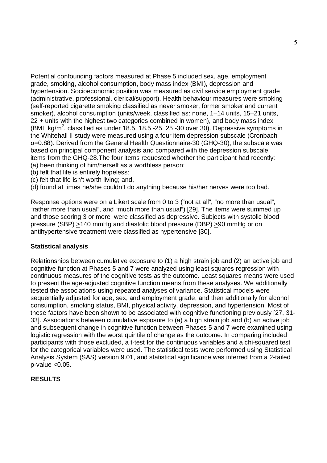Potential confounding factors measured at Phase 5 included sex, age, employment grade, smoking, alcohol consumption, body mass index (BMI), depression and hypertension. Socioeconomic position was measured as civil service employment grade (administrative, professional, clerical/support). Health behaviour measures were smoking (self-reported cigarette smoking classified as never smoker, former smoker and current smoker), alcohol consumption (units/week, classified as: none, 1–14 units, 15–21 units, 22 + units with the highest two categories combined in women), and body mass index (BMI, kg/m<sup>2</sup>, classified as under 18.5, 18.5 -25, 25 -30 over 30). Depressive symptoms in the Whitehall II study were measured using a four item depression subscale (Cronbach  $\alpha$ =0.88). Derived from the General Health Questionnaire-30 (GHQ-30), the subscale was based on principal component analysis and compared with the depression subscale items from the GHQ-28.The four items requested whether the participant had recently: (a) been thinking of him/herself as a worthless person;

- (b) felt that life is entirely hopeless;
- (c) felt that life isn't worth living; and,
- (d) found at times he/she couldn't do anything because his/her nerves were too bad.

Response options were on a Likert scale from 0 to 3 ("not at all", "no more than usual", "rather more than usual", and "much more than usual") [29]. The items were summed up and those scoring 3 or more were classified as depressive. Subjects with systolic blood pressure (SBP) >140 mmHg and diastolic blood pressure (DBP) >90 mmHg or on antihypertensive treatment were classified as hypertensive [30].

#### **Statistical analysis**

Relationships between cumulative exposure to (1) a high strain job and (2) an active job and cognitive function at Phases 5 and 7 were analyzed using least squares regression with continuous measures of the cognitive tests as the outcome. Least squares means were used to present the age-adjusted cognitive function means from these analyses. We additionally tested the associations using repeated analyses of variance. Statistical models were sequentially adjusted for age, sex, and employment grade, and then additionally for alcohol consumption, smoking status, BMI, physical activity, depression, and hypertension. Most of these factors have been shown to be associated with cognitive functioning previously [27, 31- 33]. Associations between cumulative exposure to (a) a high strain job and (b) an active job and subsequent change in cognitive function between Phases 5 and 7 were examined using logistic regression with the worst quintile of change as the outcome. In comparing included participants with those excluded, a t-test for the continuous variables and a chi-squared test for the categorical variables were used. The statistical tests were performed using Statistical Analysis System (SAS) version 9.01, and statistical significance was inferred from a 2-tailed  $p$ -value  $< 0.05$ .

#### **RESULTS**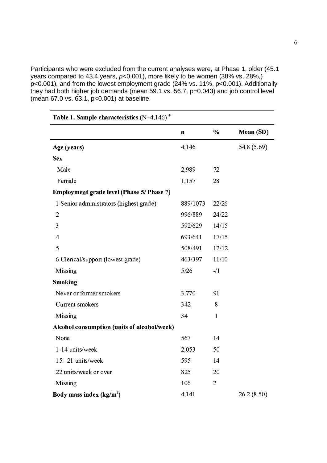Participants who were excluded from the current analyses were, at Phase 1, older (45.1 years compared to 43.4 years,  $p<0.001$ ), more likely to be women (38% vs. 28%,) p<0.001), and from the lowest employment grade (24% vs. 11%, p<0.001). Additionally they had both higher job demands (mean 59.1 vs. 56.7, p=0.043) and job control level (mean 67.0 vs. 63.1, p<0.001) at baseline.

| Table 1. Sample characteristics $(N=4,146)^+$ |             |                |             |
|-----------------------------------------------|-------------|----------------|-------------|
|                                               | $\mathbf n$ | $\frac{0}{0}$  | Mean (SD)   |
| Age (years)                                   | 4,146       |                | 54.8 (5.69) |
| <b>Sex</b>                                    |             |                |             |
| Male                                          | 2,989       | 72             |             |
| Female                                        | 1,157       | 28             |             |
| Employment grade level (Phase 5/ Phase 7)     |             |                |             |
| 1 Senior administrators (highest grade)       | 889/1073    | 22/26          |             |
| $\overline{2}$                                | 996/889     | 24/22          |             |
| 3                                             | 592/629     | 14/15          |             |
| $\overline{4}$                                | 693/641     | 17/15          |             |
| 5                                             | 508/491     | 12/12          |             |
| 6 Clerical/support (lowest grade)             | 463/397     | 11/10          |             |
| Missing                                       | 5/26        | $-1/1$         |             |
| <b>Smoking</b>                                |             |                |             |
| Never or former smokers                       | 3,770       | 91             |             |
| Current smokers                               | 342         | 8              |             |
| Missing                                       | 34          | $\mathbf{1}$   |             |
| Alcohol consumption (units of alcohol/week)   |             |                |             |
| None                                          | 567         | 14             |             |
| 1-14 units/week                               | 2,053       | 50             |             |
| 15-21 units/week                              | 595         | 14             |             |
| 22 units/week or over                         | 825         | 20             |             |
| Missing                                       | 106         | $\overline{2}$ |             |
| Body mass index $(kg/m2)$                     | 4,141       |                | 26.2(8.50)  |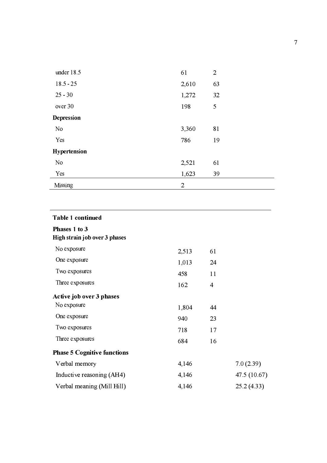| under 18.5     | 61             | $\overline{2}$ |
|----------------|----------------|----------------|
| $18.5 - 25$    | 2,610          | 63             |
| $25 - 30$      | 1,272          | 32             |
| over 30        | 198            | 5              |
| Depression     |                |                |
| No             | 3,360          | 81             |
| Yes            | 786            | 19             |
| Hypertension   |                |                |
| N <sub>o</sub> | 2,521          | 61             |
| Yes            | 1,623          | 39             |
| Missing        | $\overline{2}$ |                |

| <b>Table 1 continued</b>                       |       |                |              |
|------------------------------------------------|-------|----------------|--------------|
| Phases 1 to 3<br>High strain job over 3 phases |       |                |              |
| No exposure                                    | 2,513 | 61             |              |
| One exposure                                   | 1,013 | 24             |              |
| Two exposures                                  | 458   | 11             |              |
| Three exposures                                | 162   | $\overline{4}$ |              |
| Active job over 3 phases                       |       |                |              |
| No exposure                                    | 1,804 | 44             |              |
| One exposure                                   | 940   | 23             |              |
| Two exposures                                  | 718   | 17             |              |
| Three exposures                                | 684   | 16             |              |
| <b>Phase 5 Cognitive functions</b>             |       |                |              |
| Verbal memory                                  | 4,146 |                | 7.0(2.39)    |
| Inductive reasoning (AH4)                      | 4,146 |                | 47.5 (10.67) |
| Verbal meaning (Mill Hill)                     | 4,146 |                | 25.2(4.33)   |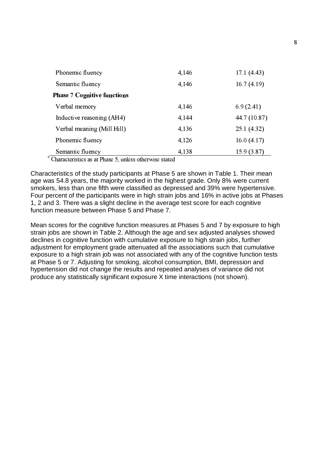| Phonemic fluency                   | 4,146 | 17.1(4.43)   |
|------------------------------------|-------|--------------|
| Semantic fluency                   | 4,146 | 16.7(4.19)   |
| <b>Phase 7 Cognitive functions</b> |       |              |
| Verbal memory                      | 4,146 | 6.9(2.41)    |
| Inductive reasoning (AH4)          | 4,144 | 44.7 (10.87) |
| Verbal meaning (Mill Hill)         | 4,136 | 25.1(4.32)   |
| Phonemic fluency                   | 4,126 | 16.0(4.17)   |
| Semantic fluency                   | 4,138 | 15.9(3.87)   |

⊤ Charactaristics as at Dhasa 5, welcas atharwiga stated

Characteristics of the study participants at Phase 5 are shown in Table 1. Their mean age was 54.8 years, the majority worked in the highest grade. Only 8% were current smokers, less than one fifth were classified as depressed and 39% were hypertensive. Four percent of the participants were in high strain jobs and 16% in active jobs at Phases 1, 2 and 3. There was a slight decline in the average test score for each cognitive function measure between Phase 5 and Phase 7.

Mean scores for the cognitive function measures at Phases 5 and 7 by exposure to high strain jobs are shown in Table 2. Although the age and sex adjusted analyses showed declines in cognitive function with cumulative exposure to high strain jobs, further adjustment for employment grade attenuated all the associations such that cumulative exposure to a high strain job was not associated with any of the cognitive function tests at Phase 5 or 7. Adjusting for smoking, alcohol consumption, BMI, depression and hypertension did not change the results and repeated analyses of variance did not produce any statistically significant exposure X time interactions (not shown).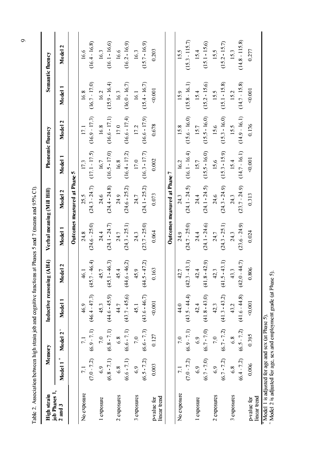| High strain                  |                                | Memory                         |                         | Inductive reasoning (AH4) | Verbal meaning (Mill Hill) |                              |                             | Phonemic fluency        |                         | Semantic fluency           |
|------------------------------|--------------------------------|--------------------------------|-------------------------|---------------------------|----------------------------|------------------------------|-----------------------------|-------------------------|-------------------------|----------------------------|
| job Phases 1,<br>$2$ and $3$ | Model 1 <sup>+</sup>           | υ<br>Model 2                   | Model 1                 | Model 2                   | Model 1                    | Model 2                      | Model 1                     | $\mathbf{c}$<br>Model   | ▀<br>Model              | N<br>Model                 |
|                              |                                |                                |                         |                           |                            | Outcomes measured at Phase 5 |                             |                         |                         |                            |
| No exposure                  | $(7.0 - 7.2)$                  | $(6.9 - 7.1)$<br>7.1           | $(46.4 - 47.3)$<br>46.9 | 46.4<br>46.1<br>(45.7)    | $(24.6 - 25.0)$<br>24.8    | $(24.3 - 24.7)$<br>25.5      | $(17.1 - 17.5)$<br>17.3     | $(16.9 - 17.3)$<br>17.1 | $(16.7 - 17.0)$<br>16.8 | $(16.4 - 16.8)$<br>16.6    |
| 1 exposure                   | $(6.8 - 7.1)$<br>6.9           | $(6.8 - 7.1)$<br>7.0           | $(44.6 - 45.9)$<br>45.3 | 46.3)<br>45.7<br>(45.1)   | $(24.1 - 24.7)$<br>24.4    | (24.4 24.8)<br>24.6          | $(16.5 - 17.0)$<br>16.7     | $(16.6 - 17.1)$<br>16.8 | $(15.9 \t16.4)$<br>16.2 | $(16.1\; \; 16.6)$<br>16.3 |
| 2 exposures                  | $(6.6 - 7.1)$<br>$\frac{8}{6}$ | $(6.6 - 7.1)$<br>$\frac{8}{6}$ | $(43.7 - 45.6)$<br>44.7 | 46.2<br>454<br>(44.6)     | $(24.3 - 25.1)$<br>24.7    | $(24.6 - 25.2)$<br>24.9      | $(16.4 - 17.2)$<br>16.8     | $(16.6 - 17.4)$<br>17.0 | $(16.0 - 16.7)$<br>16.3 | $(16.2 - 16.9)$<br>16.6    |
| 3 exposures                  | $(6.5 - 7.2)$<br>6.9           | $(6.6 - 7.3)$<br>7.0           | $(43.6 - 46.7)$<br>45.1 | 47.2<br>45.9<br>(44.5)    | $(23.7 - 25.0)$<br>24.3    | $(24.1 - 25.2)$<br>24.7      | $(16.3 \t17.7)$<br>17.0     | $(16.6 - 17.9)$<br>17.2 | $(15.4 - 16.7)$<br>161  | $(15.7 - 16.9)$<br>16.3    |
| linear trend<br>p-value for  | 0.003                          | 0.127                          | < 0.001                 | 0.163                     | 0.064                      | 0.073                        | 0.002                       | 0.678                   | < 0.001                 | 0.203                      |
|                              |                                |                                |                         |                           |                            | Outcomes measured at Phase 7 |                             |                         |                         |                            |
| No exposure                  | $(7.0 - 7.2)$                  | $(6.9 - 7.1)$<br>70            | $(43.5 - 44.4)$<br>440  | $-43.1$<br>42.7<br>(42.3) | $(24.7 - 25.0)$<br>24.9    | $(24.1 - 24.5)$<br>24.3      | $(16.1 - 16.4)$<br>16.2     | $(15.6 - 16.0)$<br>15.8 | $(15.8 \t16.1)$<br>15.9 | $(15.3 - 115.7)$<br>15.5   |
| 1 exposure                   | $(6.7 - 7.0)$<br>6.9           | $(6.7 - 7.0)$<br>6.9           | $(41.8 - 43.0)$<br>42.4 | 42.9<br>42.4<br>(41.8)    | $(24.1 - 24.6)$<br>24.4    | $(24.1 - 24.5)$<br>24.4      | $(15.5 \cdot 16.0)$<br>15.7 | $(15.5 - 16.0)$<br>15.7 | $(15.2 - 15.6)$<br>15.4 | $(15.1 - 15.6)$<br>15.4    |
| 2 exposures                  | $(6.7 - 7.2)$<br>6.9           | $(6.7 - 7.2)$<br>7.0           | $(41.3 - 43.2)$<br>42.3 | $-43.1$<br>42.3<br>(41.5) | $(24.3 - 25.1)$<br>24.7    | $(24.3 - 24.9)$<br>246       | $(15.3 \t15.9)$<br>15.6     | $(15.3 - 16.0)$<br>15.6 | $(15.1 - 15.8)$<br>15.5 | $(15.2 - 15.7)$<br>15.5    |
| 3 exposures                  | $(6.4 - 7.2)$<br>$\frac{8}{6}$ | $(6.5 - 7.2)$<br>$\frac{8}{6}$ | $(41.6 - 44.8)$<br>43.2 | 44.7)<br>43.3<br>(42.0)   | $(23.6 - 24.9)$<br>24.3    | $(23.7 - 24.9)$<br>24.3      | $(14.7 - 16.1)$<br>15.4     | $(14.9 - 16.1)$<br>15.5 | $(14.7 \t15.8)$<br>15.2 | $(14.8 \t115.8)$<br>15.3   |
| linear trend<br>p-value for  | 0.006                          | 0.395                          | 0.001                   | 0.806                     | 0.024                      | 0.313                        | 0.001                       | 0.176                   | 0.001                   | 0.277                      |

 $\circ$ 

Table 2. Association between high strain job and cognitive functions at Phases 5 and 7 (means and 95% CI).

 $\frac{1}{2}$  Model 2 is adjusted for age, sex and employment grade (at Phase 5).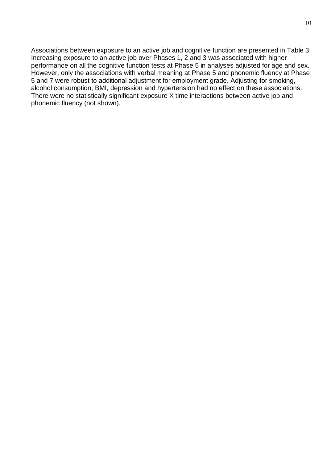Associations between exposure to an active job and cognitive function are presented in Table 3. Increasing exposure to an active job over Phases 1, 2 and 3 was associated with higher performance on all the cognitive function tests at Phase 5 in analyses adjusted for age and sex. However, only the associations with verbal meaning at Phase 5 and phonemic fluency at Phase 5 and 7 were robust to additional adjustment for employment grade. Adjusting for smoking, alcohol consumption, BMI, depression and hypertension had no effect on these associations. There were no statistically significant exposure X time interactions between active job and phonemic fluency (not shown).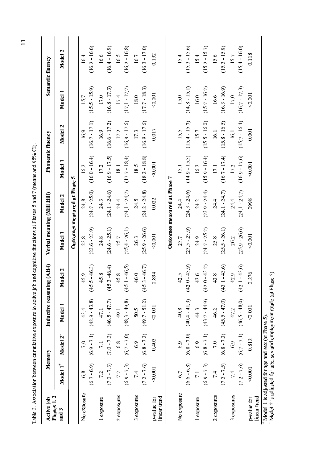| Phases 1, 2<br>and 3        |                      | Memory               | Inductive reasoning | (AH4)                   | Verbal meaning (Mill Hill) |                              |                 | <b>Phonemic fluency</b> |                 | Semantic fluency              |
|-----------------------------|----------------------|----------------------|---------------------|-------------------------|----------------------------|------------------------------|-----------------|-------------------------|-----------------|-------------------------------|
|                             | Model 1 <sup>+</sup> | Model 2 <sup>-</sup> | Model 1             | del 2<br>$\mathbf{s}_0$ | Model 1                    | Model 2                      | Model 1         | Model 2                 | Model 1         | $\mathbf{\tilde{c}}$<br>Model |
|                             |                      |                      |                     |                         |                            | Outcomes measured at Phase 5 |                 |                         |                 |                               |
| No exposure                 | 6.8                  | 7.0                  | 43.4                | 5.9<br>4                | 23.8                       | 24.8                         | 16.2            | 16.9                    | 15.7            | 16.4                          |
|                             | $(6.7 - 6.9)$        | $(6.9 - 7.1)$        | (42.9 43.8)         | $-46.3$<br>(45.5)       | $(23.6 - 23.9)$            | $(24.7 - 25.0)$              | $(16.0 - 16.4)$ | $(16.7 - 17.1)$         | $(15.5 - 15.9)$ | $(16.2 - 16.6)$               |
| 1 exposure                  | 7.2                  |                      | 47.1                | 45.8                    | 24.8                       | 24.3                         | 17.2            | 16.9                    | 17.0            | 16.6                          |
|                             | $(7.0 - 7.3)$        | $(7.0 - 7.3)$        | (46.5 47.7)         | 46.4<br>(45.3)          | $(24.6 - 25.1)$            | $(24.1 - 24.6)$              | $(16.9 - 17.5)$ | $(16.6 - 17.2)$         | $(16.8 - 17.3)$ | $(16.4 - 16.9)$               |
| 2 exposures                 | 7.2                  | 6.8                  | 49.1                | 5.8<br>4                | 25.7                       | 24.4                         | 181             | 17.2                    | 17.4            | 16.5                          |
|                             | $(6.9 - 7.3)$        | $(6.7 - 7.0)$        | (48.3 49.8)         | $-46.5$<br>(45.1)       | $(25.4 - 26.1)$            | $(24.1 - 24.7)$              | $(17.7 - 18.4)$ | $(16.9 - 17.6)$         | $(17.1 - 17.7)$ | $(16.2 - 16.8)$               |
| 3 exposures                 | 74                   | 6.9                  | 50.5                | 46.0                    | 26.3                       | 24.5                         | 18.5            | 17.3                    | 18.0            | 16.7                          |
|                             | $(7.2 - 7.6)$        | $(6.8 - 7.2)$        | $(49.7 - 51.2)$     | 46.7<br>(45.3)          | $(25.9 - 26.6)$            | $(24.2 - 24.8)$              | $(18.2 - 18.8)$ | $(16.9 - 17.6)$         | $(17.7 - 18.3)$ | $(16.3 - 17.0)$               |
| linear trend<br>p-value for | 0.001                | 0.403                | 0.001               | 894<br>$\circ$          | 0.001                      | 0.022                        | 0.001           | 0.017                   | 0.001           | 0.192                         |
|                             |                      |                      |                     |                         |                            | Outcomes measured at Phase 7 |                 |                         |                 |                               |
| No exposure                 | 6.7                  | 6.9                  | 40.8                | 2.5<br>4                | 23.7                       | 24.4                         | $\overline{5}$  | 15.5                    | 15.0            | 15.4                          |
|                             | $(6.6 - 6.8)$        | $(6.8 - 7.0)$        | $(40.4 - 41.3)$     | $-43.9$<br>(42.0)       | $(23.5 - 23.9)$            | $(24.3 - 24.6)$              | $(14.9 - 15.3)$ | $(15.4 - 15.7)$         | $(14.8 - 15.1)$ | $(15.3 - 15.6)$               |
| 1 exposure                  | $\overline{71}$      | 6.9                  | 44.3                | 2.6<br>4                | 24.9                       | 24.2                         | 16.2            | 15.7                    | 16.0            | 15.4                          |
|                             | $(6.9 - 7.3)$        | $(6.8 - 7.1)$        | (43.744.9)          | $-43.2$<br>(42.0)       | $(24.7 - 25.2)$            | $(23.9 - 24.4)$              | $(15.9 - 16.4)$ | $(15.5 - 16.0)$         | $(15.7 - 16.2)$ | $(15.2 - 15.7)$               |
| 2 exposures                 | 74                   | $\overline{70}$      | 46.2                | 2.8<br>4                | 25.8                       | 24.4                         | 17.1            | 16.1                    | 16.6            | 15.6                          |
|                             | $(7.2 - 7.5)$        | $(6.8 - 7.2)$        | $(45.5 - 47.0)$     | $-43.6$<br>(42.1)       | $(25.5 - 26.1)$            | $(24.1 - 24.7)$              | $(16.7 - 17.4)$ | $(15.8 - 16.5)$         | $(16.3 - 16.9)$ | $(15.3 - 15.9)$               |
| 3 exposures                 | 7.4                  | $\frac{6}{9}$        | 47.2                | 42.9                    | 26.2                       | 24.4                         | 17.2            | 16.1                    | 17.0            | 15.7                          |
|                             | $(7.2 - 7.6)$        | $(6.7 - 7.1)$        | $(46.5 - 48.0)$     | 43.6<br>(42.1)          | $(25.9 - 26.6)$            | $(24.1 - 24.7)$              | $(16.9 - 17.6)$ | $(15.7 - 16.4)$         | $(16.7 - 17.3)$ | $(15.4 - 16.0)$               |
| linear trend<br>p-value for | 0.001                | 0.812                | < 0.001             | 276<br>$\circ$          | < 0.001                    | 0998                         | < 0.001         | 0.001                   | < 0.001         | 0.118                         |

Table 3. Association between cumulative exposure to active job and cognitive functions at Phases 5 and 7 (means and 95% CI).

 $\frac{1}{\sqrt{1-\frac{1}{2}}}$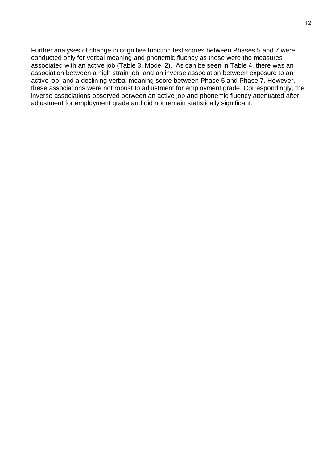Further analyses of change in cognitive function test scores between Phases 5 and 7 were conducted only for verbal meaning and phonemic fluency as these were the measures associated with an active job (Table 3, Model 2). As can be seen in Table 4, there was an association between a high strain job, and an inverse association between exposure to an active job, and a declining verbal meaning score between Phase 5 and Phase 7. However, these associations were not robust to adjustment for employment grade. Correspondingly, the inverse associations observed between an active job and phonemic fluency attenuated after adjustment for employment grade and did not remain statistically significant.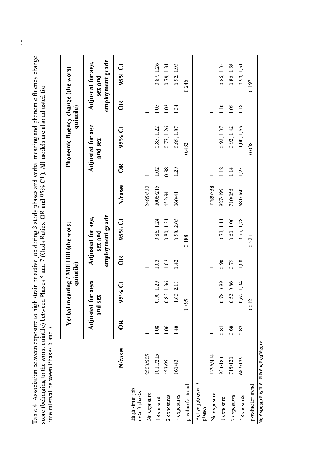|                                       |          |             | Verbal m                     | quintile)    | eaning / Mill Hill (the worst                    |          |               | Phonemic fluency change (the worst | quintile)    |                                                  |
|---------------------------------------|----------|-------------|------------------------------|--------------|--------------------------------------------------|----------|---------------|------------------------------------|--------------|--------------------------------------------------|
|                                       |          |             | Adjusted for ages<br>and sex |              | employment grade<br>Adjusted for age,<br>sex and |          |               | Adjusted for age<br>and sex        |              | employment grade<br>Adjusted for age,<br>sex and |
|                                       | N/cases  | $\mathbb S$ | $95%$ CI                     | $\mathbb{B}$ | 95% CI                                           | N/cases  | $\frac{R}{C}$ | J<br>95%                           | $\mathbb{B}$ | 95% CI                                           |
| High strain job<br>over 3 phases      |          |             |                              |              |                                                  |          |               |                                    |              |                                                  |
| No exposure                           | 2503/505 |             |                              |              |                                                  | 2485/522 |               |                                    |              |                                                  |
| 1 exposure                            | 1011/215 | 1.08        | 0.90, 1.29                   | 1.03         | 0.86, 1.24                                       | 1006/215 | 1.02          | 0.85, 1.22                         | 1.05         | 0.87, 1.26                                       |
| 2 exposures                           | 453/95   | 1.06        | 82, 1.36<br>0                | 1.02         | 0.80, 1.31                                       | 452/94   | 0.98          | 0.77, 1.26                         | 1.02         | 0.79, 1.31                                       |
| 3 exposures                           | 161/43   | 1.48        | .03, 2.13                    | 1.42         | 0.98, 2.05                                       | 160/41   | 1.29          | 0.89, 1.87                         | 1.34         | 0.92, 1.95                                       |
| p-value for trend                     |          |             | 0.795                        |              | 0.188                                            |          |               | 0.432                              |              | 0.246                                            |
| Active job over 3<br>phases           |          |             |                              |              |                                                  |          |               |                                    |              |                                                  |
| No exposure                           | 1796/414 |             |                              |              |                                                  | 1785/358 |               |                                    |              |                                                  |
| l exposure                            | 934/184  | 0.81        | 0.78, 0.99                   | 0.90         | 0.73, 1.11                                       | 927/199  | 112           | 0.92, 1.37                         | 110          | 0.86, 1.35                                       |
| 2 exposures                           | 715/121  | 0.68        | 0.53, 0.86                   | 0.79         | 0.61, 1.00                                       | 710/155  | 114           | 0.92, 1.42                         | 1.09         | 0.86, 1.38                                       |
| 3 exposures                           | 682/139  | 0.83        | .67, 1.04<br>¢               | 1.00         | 0.77, 1.28                                       | 681/160  | 1.25          | 1.00, 1.55                         | 1.18         | 0.90, 1.51                                       |
| p-value for trend                     |          |             | 0.012                        |              | 0.524                                            |          |               | 0.038                              |              | 0.197                                            |
| No exposure is the reference category |          |             |                              |              |                                                  |          |               |                                    |              |                                                  |

 $\frac{13}{2}$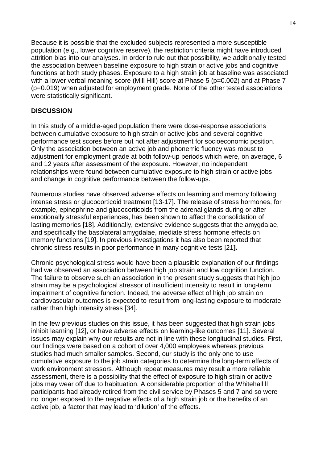Because it is possible that the excluded subjects represented a more susceptible population (e.g., lower cognitive reserve), the restriction criteria might have introduced attrition bias into our analyses. In order to rule out that possibility, we additionally tested the association between baseline exposure to high strain or active jobs and cognitive functions at both study phases. Exposure to a high strain job at baseline was associated with a lower verbal meaning score (Mill Hill) score at Phase 5 (p=0.002) and at Phase 7 (p=0.019) when adjusted for employment grade. None of the other tested associations were statistically significant.

## **DISCUSSION**

In this study of a middle-aged population there were dose-response associations between cumulative exposure to high strain or active jobs and several cognitive performance test scores before but not after adjustment for socioeconomic position. Only the association between an active job and phonemic fluency was robust to adjustment for employment grade at both follow-up periods which were, on average, 6 and 12 years after assessment of the exposure. However, no independent relationships were found between cumulative exposure to high strain or active jobs and change in cognitive performance between the follow-ups.

Numerous studies have observed adverse effects on learning and memory following intense stress or glucocorticoid treatment [13-17]. The release of stress hormones, for example, epinephrine and glucocorticoids from the adrenal glands during or after emotionally stressful experiences, has been shown to affect the consolidation of lasting memories [18]. Additionally, extensive evidence suggests that the amygdalae, and specifically the basolateral amygdalae, mediate stress hormone effects on memory functions [19]. In previous investigations it has also been reported that chronic stress results in poor performance in many cognitive tests [21**].** 

Chronic psychological stress would have been a plausible explanation of our findings had we observed an association between high job strain and low cognition function. The failure to observe such an association in the present study suggests that high job strain may be a psychological stressor of insufficient intensity to result in long-term impairment of cognitive function. Indeed, the adverse effect of high job strain on cardiovascular outcomes is expected to result from long-lasting exposure to moderate rather than high intensity stress [34].

In the few previous studies on this issue, it has been suggested that high strain jobs inhibit learning [12], or have adverse effects on learning-like outcomes [11]. Several issues may explain why our results are not in line with these longitudinal studies. First, our findings were based on a cohort of over 4,000 employees whereas previous studies had much smaller samples. Second, our study is the only one to use cumulative exposure to the job strain categories to determine the long-term effects of work environment stressors. Although repeat measures may result a more reliable assessment, there is a possibility that the effect of exposure to high strain or active jobs may wear off due to habituation. A considerable proportion of the Whitehall II participants had already retired from the civil service by Phases 5 and 7 and so were no longer exposed to the negative effects of a high strain job or the benefits of an active job, a factor that may lead to 'dilution' of the effects.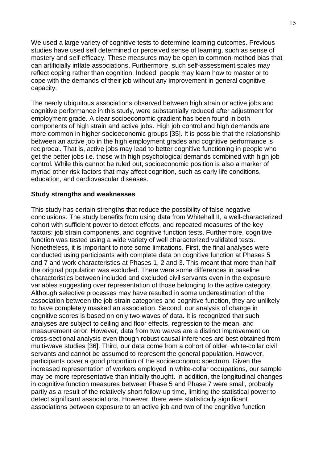We used a large variety of cognitive tests to determine learning outcomes. Previous studies have used self determined or perceived sense of learning, such as sense of mastery and self-efficacy. These measures may be open to common-method bias that can artificially inflate associations. Furthermore, such self-assessment scales may reflect coping rather than cognition. Indeed, people may learn how to master or to cope with the demands of their job without any improvement in general cognitive capacity.

The nearly ubiquitous associations observed between high strain or active jobs and cognitive performance in this study, were substantially reduced after adjustment for employment grade. A clear socioeconomic gradient has been found in both components of high strain and active jobs. High job control and high demands are more common in higher socioeconomic groups [35]. It is possible that the relationship between an active job in the high employment grades and cognitive performance is reciprocal. That is, active jobs may lead to better cognitive functioning in people who get the better jobs i.e. those with high psychological demands combined with high job control. While this cannot be ruled out, socioeconomic position is also a marker of myriad other risk factors that may affect cognition, such as early life conditions, education, and cardiovascular diseases.

## **Study strengths and weaknesses**

This study has certain strengths that reduce the possibility of false negative conclusions. The study benefits from using data from Whitehall II, a well-characterized cohort with sufficient power to detect effects, and repeated measures of the key factors: job strain components, and cognitive function tests. Furthermore, cognitive function was tested using a wide variety of well characterized validated tests. Nonetheless, it is important to note some limitations. First, the final analyses were conducted using participants with complete data on cognitive function at Phases 5 and 7 and work characteristics at Phases 1, 2 and 3. This meant that more than half the original population was excluded. There were some differences in baseline characteristics between included and excluded civil servants even in the exposure variables suggesting over representation of those belonging to the active category. Although selective processes may have resulted in some underestimation of the association between the job strain categories and cognitive function, they are unlikely to have completely masked an association. Second, our analysis of change in cognitive scores is based on only two waves of data. It is recognized that such analyses are subject to ceiling and floor effects, regression to the mean, and measurement error. However, data from two waves are a distinct improvement on cross-sectional analysis even though robust causal inferences are best obtained from multi-wave studies [36]. Third, our data come from a cohort of older, white-collar civil servants and cannot be assumed to represent the general population. However, participants cover a good proportion of the socioeconomic spectrum. Given the increased representation of workers employed in white-collar occupations, our sample may be more representative than initially thought. In addition, the longitudinal changes in cognitive function measures between Phase 5 and Phase 7 were small, probably partly as a result of the relatively short follow-up time, limiting the statistical power to detect significant associations. However, there were statistically significant associations between exposure to an active job and two of the cognitive function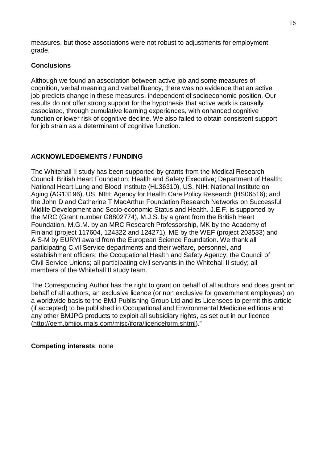measures, but those associations were not robust to adjustments for employment grade.

## **Conclusions**

Although we found an association between active job and some measures of cognition, verbal meaning and verbal fluency, there was no evidence that an active job predicts change in these measures, independent of socioeconomic position. Our results do not offer strong support for the hypothesis that active work is causally associated, through cumulative learning experiences, with enhanced cognitive function or lower risk of cognitive decline. We also failed to obtain consistent support for job strain as a determinant of cognitive function.

# **ACKNOWLEDGEMENTS / FUNDING**

The Whitehall II study has been supported by grants from the Medical Research Council; British Heart Foundation; Health and Safety Executive; Department of Health; National Heart Lung and Blood Institute (HL36310), US, NIH: National Institute on Aging (AG13196), US, NIH; Agency for Health Care Policy Research (HS06516); and the John D and Catherine T MacArthur Foundation Research Networks on Successful Midlife Development and Socio-economic Status and Health. J.E.F. is supported by the MRC (Grant number G8802774), M.J.S. by a grant from the British Heart Foundation, M.G.M. by an MRC Research Professorship, MK by the Academy of Finland (project 117604, 124322 and 124271), ME by the WEF (project 203533) and A S-M by EURYI award from the European Science Foundation. We thank all participating Civil Service departments and their welfare, personnel, and establishment officers; the Occupational Health and Safety Agency; the Council of Civil Service Unions; all participating civil servants in the Whitehall II study; all members of the Whitehall II study team.

The Corresponding Author has the right to grant on behalf of all authors and does grant on behalf of all authors, an exclusive licence (or non exclusive for government employees) on a worldwide basis to the BMJ Publishing Group Ltd and its Licensees to permit this article (if accepted) to be published in Occupational and Environmental Medicine editions and any other BMJPG products to exploit all subsidiary rights, as set out in our licence (http://oem.bmjjournals.com/misc/ifora/licenceform.shtml)."

**Competing interests**: none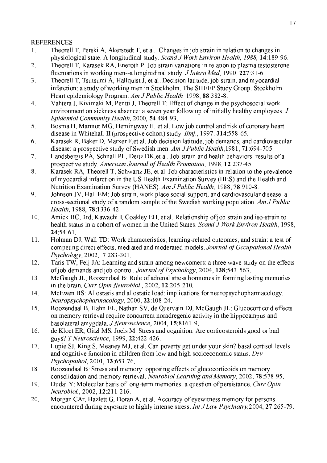## **REFERENCES**

- Theorell T, Perski A, Akerstedt T, et al. Changes in job strain in relation to changes in  $\mathbf{1}$ . physiological state. A longitudinal study. Scand J Work Environ Health, 1988, 14:189-96.
- $2.$ Theorell T, Karasek RA, Eneroth P: Job strain variations in relation to plasma testosterone fluctuations in working men--a longitudinal study. *J Intern Med*, 1990, 227:31-6.
- Theorell T, Tsutsumi A, Hallquist J, et al. Decision latitude, job strain, and myocardial  $3<sub>1</sub>$ infarction: a study of working men in Stockholm. The SHEEP Study Group. Stockholm Heart epidemiology Program. Am J Public Health 1998, 88:382-8.
- $\overline{4}$ . Vahtera J, Kivimaki M, Pentti J, Theorell T: Effect of change in the psychosocial work environment on sickness absence: a seven year follow up of initially healthy employees. J Epidemiol Community Health, 2000, 54:484-93.
- 5. Bosma H, Marmot MG, Hemingway H, et al. Low job control and risk of coronary heart disease in Whitehall II (prospective cohort) study.  $Bmj$ , 1997. **314**:558-65.
- 6. Karasek R, Baker D, Marxer F, et al. Job decision latitude, job demands, and cardiovascular disease: a prospective study of Swedish men. Am J Public Health, 1981, 71:694-705.
- $7<sub>1</sub>$ Landsbergis PA, Schnall PL, Deitz DK, et al. Job strain and health behaviors: results of a prospective study. American Journal of Health Promotion, 1998, 12:237-45.
- 8. Karasek RA. Theorell T. Schwartz JE, et al. Job characteristics in relation to the prevalence of myocardial infarction in the US Health Examination Survey (HES) and the Health and Nutrition Examination Survey (HANES). Am J Public Health, 1988, 78:910-8.
- 9. Johnson JV, Hall EM: Job strain, work place social support, and cardiovascular disease: a cross-sectional study of a random sample of the Swedish working population. Am J Public Health, 1988, 78:1336-42.
- $10.$ Amick BC, 3rd, Kawachi I, Coakley EH, et al. Relationship of job strain and iso-strain to health status in a cohort of women in the United States. Scand J Work Environ Health, 1998,  $24:54-61$
- $11.$ Holman DJ, Wall TD: Work characteristics, learning-related outcomes, and strain: a test of competing direct effects, mediated and moderated models. Journal of Occupational Health Psychology, 2002, 7:283-301.
- Taris TW, Feij JA: Learning and strain among newcomers: a three wave study on the effects 12. of job demands and job control. *Journal of Psychology*, 2004, 138:543-563.
- McGaugh JL, Roozendaal B: Role of adrenal stress hormones in forming lasting memories 13. in the brain. Curr Opin Neurobiol., 2002,  $12:205-210$ .
- $14.$ McEwen BS: Allostasis and allostatic load: implications for neuropsychopharmacology. Neuropsychopharmacology, 2000, 22:108-24.
- Roozendaal B, Hahn EL, Nathan SV, de Quervain DJ, McGaugh JL: Glucocorticoid effects 15. on memory retrieval require concurrent noradregenic activity in the hippocampus and basolateral amygdala. J Neuroscience, 2004, 15:8161-9.
- 16. de Kloet ER, Oitzl MS, Joels M: Stress and cognition. Are corticosteroids good or bad guys? T Neuroscience, 1999, 22:422-426.
- 17. Lupie SJ, King S, Meaney MJ, et al. Can poverty get under your skin? basal cortisol levels and cognitive function in children from low and high socioeconomic status. Dev Psychopathol, 2001, 13:653-76.
- 18. Roozendaal B: Stress and memory: opposing effects of glucocorticoids on memory consolidation and memory retrieval. Neurobiol Learning and Memory, 2002, 78:578-95.
- 19. Dudai Y: Molecular basis of long-term memories: a question of persistance. Curr Opin Neurobiol., 2002, 12:211-216.
- Morgan CAr, Hazlett G, Doran A, et al. Accuracy of eyewitness memory for persons 20. encountered during exposure to highly intense stress. *Int J Law Psychiatry*, 2004, 27:265-79.